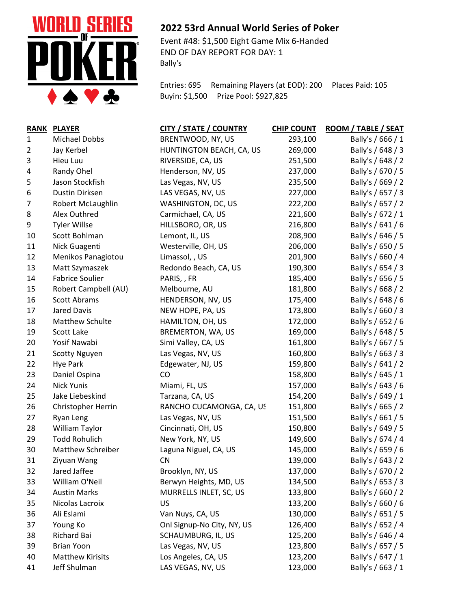

## **2022 53rd Annual World Series of Poker**

Event #48: \$1,500 Eight Game Mix 6-Handed END OF DAY REPORT FOR DAY: 1 Bally's

Entries: 695 Remaining Players (at EOD): 200 Places Paid: 105 Buyin: \$1,500 Prize Pool: \$927,825

| <b>RANK</b>    | <b>PLAYER</b>           | <b>CITY / STATE / COUNTRY</b> | <b>CHIP COUNT</b> | ROOM / TABLE / SEAT |
|----------------|-------------------------|-------------------------------|-------------------|---------------------|
| $\mathbf{1}$   | Michael Dobbs           | BRENTWOOD, NY, US             | 293,100           | Bally's / 666 / 1   |
| $\overline{2}$ | Jay Kerbel              | HUNTINGTON BEACH, CA, US      | 269,000           | Bally's / 648 / 3   |
| 3              | Hieu Luu                | RIVERSIDE, CA, US             | 251,500           | Bally's / 648 / 2   |
| 4              | Randy Ohel              | Henderson, NV, US             | 237,000           | Bally's / 670 / 5   |
| 5              | Jason Stockfish         | Las Vegas, NV, US             | 235,500           | Bally's / 669 / 2   |
| 6              | Dustin Dirksen          | LAS VEGAS, NV, US             | 227,000           | Bally's / 657 / 3   |
| 7              | Robert McLaughlin       | WASHINGTON, DC, US            | 222,200           | Bally's / 657 / 2   |
| 8              | Alex Outhred            | Carmichael, CA, US            | 221,600           | Bally's / 672 / 1   |
| 9              | <b>Tyler Willse</b>     | HILLSBORO, OR, US             | 216,800           | Bally's / 641 / 6   |
| 10             | Scott Bohlman           | Lemont, IL, US                | 208,900           | Bally's / 646 / 5   |
| 11             | Nick Guagenti           | Westerville, OH, US           | 206,000           | Bally's / 650 / 5   |
| 12             | Menikos Panagiotou      | Limassol, , US                | 201,900           | Bally's / 660 / 4   |
| 13             | Matt Szymaszek          | Redondo Beach, CA, US         | 190,300           | Bally's / 654 / 3   |
| 14             | <b>Fabrice Soulier</b>  | PARIS, , FR                   | 185,400           | Bally's / 656 / 5   |
| 15             | Robert Campbell (AU)    | Melbourne, AU                 | 181,800           | Bally's / 668 / 2   |
| 16             | <b>Scott Abrams</b>     | HENDERSON, NV, US             | 175,400           | Bally's / 648 / 6   |
| 17             | <b>Jared Davis</b>      | NEW HOPE, PA, US              | 173,800           | Bally's / 660 / 3   |
| 18             | Matthew Schulte         | HAMILTON, OH, US              | 172,000           | Bally's / 652 / 6   |
| 19             | Scott Lake              | BREMERTON, WA, US             | 169,000           | Bally's / 648 / 5   |
| 20             | Yosif Nawabi            | Simi Valley, CA, US           | 161,800           | Bally's / 667 / 5   |
| 21             | <b>Scotty Nguyen</b>    | Las Vegas, NV, US             | 160,800           | Bally's / 663 / 3   |
| 22             | Hye Park                | Edgewater, NJ, US             | 159,800           | Bally's / 641 / 2   |
| 23             | Daniel Ospina           | <b>CO</b>                     | 158,800           | Bally's / 645 / 1   |
| 24             | <b>Nick Yunis</b>       | Miami, FL, US                 | 157,000           | Bally's / 643 / 6   |
| 25             | Jake Liebeskind         | Tarzana, CA, US               | 154,200           | Bally's / 649 / 1   |
| 26             | Christopher Herrin      | RANCHO CUCAMONGA, CA, US      | 151,800           | Bally's / 665 / 2   |
| 27             | Ryan Leng               | Las Vegas, NV, US             | 151,500           | Bally's / 661 / 5   |
| 28             | William Taylor          | Cincinnati, OH, US            | 150,800           | Bally's / 649 / 5   |
| 29             | <b>Todd Rohulich</b>    | New York, NY, US              | 149,600           | Bally's / 674 / 4   |
| 30             | Matthew Schreiber       | Laguna Niguel, CA, US         | 145,000           | Bally's / 659 / 6   |
| 31             | Ziyuan Wang             | <b>CN</b>                     | 139,000           | Bally's / 643 / 2   |
| 32             | Jared Jaffee            | Brooklyn, NY, US              | 137,000           | Bally's / 670 / 2   |
| 33             | William O'Neil          | Berwyn Heights, MD, US        | 134,500           | Bally's / 653 / 3   |
| 34             | <b>Austin Marks</b>     | MURRELLS INLET, SC, US        | 133,800           | Bally's / 660 / 2   |
| 35             | Nicolas Lacroix         | <b>US</b>                     | 133,200           | Bally's / 660 / 6   |
| 36             | Ali Eslami              | Van Nuys, CA, US              | 130,000           | Bally's / 651 / 5   |
| 37             | Young Ko                | Onl Signup-No City, NY, US    | 126,400           | Bally's / 652 / 4   |
| 38             | Richard Bai             | SCHAUMBURG, IL, US            | 125,200           | Bally's / 646 / 4   |
| 39             | <b>Brian Yoon</b>       | Las Vegas, NV, US             | 123,800           | Bally's / 657 / 5   |
| 40             | <b>Matthew Kirisits</b> | Los Angeles, CA, US           | 123,200           | Bally's / 647 / 1   |
| 41             | Jeff Shulman            | LAS VEGAS, NV, US             | 123,000           | Bally's / 663 / 1   |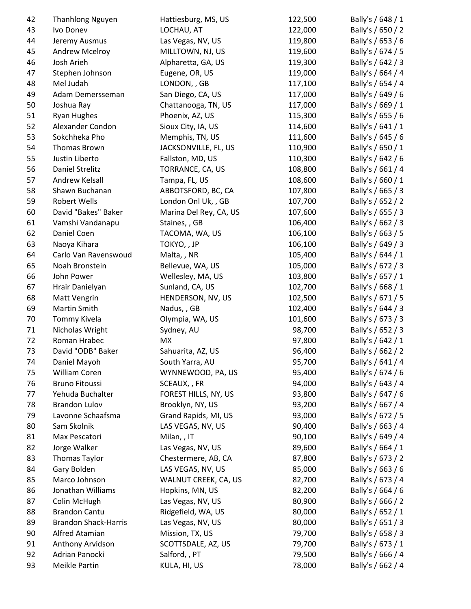| 42 | <b>Thanhlong Nguyen</b>     | Hattiesburg, MS, US    | 122,500 | Bally's / 648 / 1 |
|----|-----------------------------|------------------------|---------|-------------------|
| 43 | Ivo Donev                   | LOCHAU, AT             | 122,000 | Bally's / 650 / 2 |
| 44 | Jeremy Ausmus               | Las Vegas, NV, US      | 119,800 | Bally's / 653 / 6 |
| 45 | Andrew Mcelroy              | MILLTOWN, NJ, US       | 119,600 | Bally's / 674 / 5 |
| 46 | Josh Arieh                  | Alpharetta, GA, US     | 119,300 | Bally's / 642 / 3 |
| 47 | Stephen Johnson             | Eugene, OR, US         | 119,000 | Bally's / 664 / 4 |
| 48 | Mel Judah                   | LONDON, , GB           | 117,100 | Bally's / 654 / 4 |
| 49 | Adam Demersseman            | San Diego, CA, US      | 117,000 | Bally's / 649 / 6 |
| 50 | Joshua Ray                  | Chattanooga, TN, US    | 117,000 | Bally's / 669 / 1 |
| 51 | Ryan Hughes                 | Phoenix, AZ, US        | 115,300 | Bally's / 655 / 6 |
| 52 | Alexander Condon            | Sioux City, IA, US     | 114,600 | Bally's / 641 / 1 |
| 53 | Sokchheka Pho               | Memphis, TN, US        | 111,600 | Bally's / 645 / 6 |
| 54 | Thomas Brown                | JACKSONVILLE, FL, US   | 110,900 | Bally's / 650 / 1 |
| 55 | Justin Liberto              | Fallston, MD, US       | 110,300 | Bally's / 642 / 6 |
| 56 | <b>Daniel Strelitz</b>      | TORRANCE, CA, US       | 108,800 | Bally's / 661 / 4 |
| 57 | Andrew Kelsall              | Tampa, FL, US          | 108,600 | Bally's / 660 / 1 |
| 58 | Shawn Buchanan              | ABBOTSFORD, BC, CA     | 107,800 | Bally's / 665 / 3 |
| 59 | <b>Robert Wells</b>         | London Onl Uk, , GB    | 107,700 | Bally's / 652 / 2 |
| 60 | David "Bakes" Baker         | Marina Del Rey, CA, US | 107,600 | Bally's / 655 / 3 |
| 61 | Vamshi Vandanapu            | Staines, , GB          | 106,400 | Bally's / 662 / 3 |
| 62 | Daniel Coen                 | TACOMA, WA, US         | 106,100 | Bally's / 663 / 5 |
| 63 | Naoya Kihara                | TOKYO, , JP            | 106,100 | Bally's / 649 / 3 |
| 64 | Carlo Van Ravenswoud        | Malta,, NR             | 105,400 | Bally's / 644 / 1 |
| 65 | Noah Bronstein              | Bellevue, WA, US       | 105,000 | Bally's / 672 / 3 |
| 66 | John Power                  | Wellesley, MA, US      | 103,800 | Bally's / 657 / 1 |
| 67 | Hrair Danielyan             | Sunland, CA, US        | 102,700 | Bally's / 668 / 1 |
| 68 | Matt Vengrin                | HENDERSON, NV, US      | 102,500 | Bally's / 671 / 5 |
| 69 | Martin Smith                | Nadus,, GB             | 102,400 | Bally's / 644 / 3 |
| 70 | Tommy Kivela                | Olympia, WA, US        | 101,600 | Bally's / 673 / 3 |
| 71 | Nicholas Wright             | Sydney, AU             | 98,700  | Bally's / 652 / 3 |
| 72 | Roman Hrabec                | <b>MX</b>              | 97,800  | Bally's / 642 / 1 |
| 73 | David "ODB" Baker           | Sahuarita, AZ, US      | 96,400  | Bally's / 662 / 2 |
| 74 | Daniel Mayoh                | South Yarra, AU        | 95,700  | Bally's / 641 / 4 |
| 75 | William Coren               | WYNNEWOOD, PA, US      | 95,400  | Bally's / 674 / 6 |
| 76 | <b>Bruno Fitoussi</b>       | SCEAUX, , FR           | 94,000  | Bally's / 643 / 4 |
| 77 | Yehuda Buchalter            | FOREST HILLS, NY, US   | 93,800  | Bally's / 647 / 6 |
| 78 | <b>Brandon Lulov</b>        | Brooklyn, NY, US       | 93,200  | Bally's / 667 / 4 |
| 79 | Lavonne Schaafsma           | Grand Rapids, MI, US   | 93,000  | Bally's / 672 / 5 |
| 80 | Sam Skolnik                 | LAS VEGAS, NV, US      | 90,400  | Bally's / 663 / 4 |
| 81 | Max Pescatori               | Milan, , IT            | 90,100  | Bally's / 649 / 4 |
|    |                             | Las Vegas, NV, US      |         |                   |
| 82 | Jorge Walker                |                        | 89,600  | Bally's / 664 / 1 |
| 83 | <b>Thomas Taylor</b>        | Chestermere, AB, CA    | 87,800  | Bally's / 673 / 2 |
| 84 | Gary Bolden                 | LAS VEGAS, NV, US      | 85,000  | Bally's / 663 / 6 |
| 85 | Marco Johnson               | WALNUT CREEK, CA, US   | 82,700  | Bally's / 673 / 4 |
| 86 | Jonathan Williams           | Hopkins, MN, US        | 82,200  | Bally's / 664 / 6 |
| 87 | Colin McHugh                | Las Vegas, NV, US      | 80,900  | Bally's / 666 / 2 |
| 88 | <b>Brandon Cantu</b>        | Ridgefield, WA, US     | 80,000  | Bally's / 652 / 1 |
| 89 | <b>Brandon Shack-Harris</b> | Las Vegas, NV, US      | 80,000  | Bally's / 651 / 3 |
| 90 | Alfred Atamian              | Mission, TX, US        | 79,700  | Bally's / 658 / 3 |
| 91 | Anthony Arvidson            | SCOTTSDALE, AZ, US     | 79,700  | Bally's / 673 / 1 |
| 92 | Adrian Panocki              | Salford, , PT          | 79,500  | Bally's / 666 / 4 |
| 93 | Meikle Partin               | KULA, HI, US           | 78,000  | Bally's / 662 / 4 |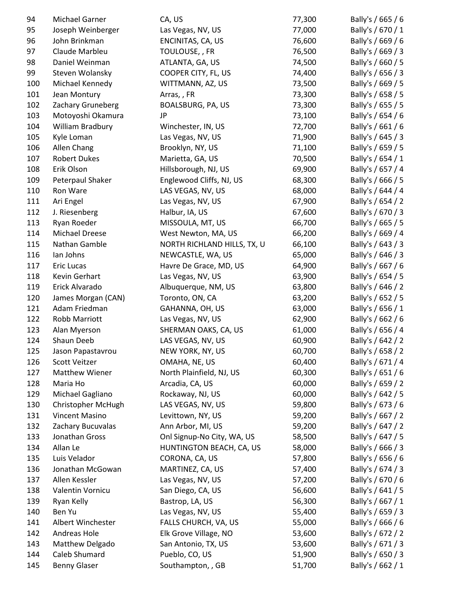| 94  | Michael Garner      | CA, US                                    | 77,300           | Bally's / 665 / 6 |
|-----|---------------------|-------------------------------------------|------------------|-------------------|
| 95  | Joseph Weinberger   | Las Vegas, NV, US                         | 77,000           | Bally's / 670 / 1 |
| 96  | John Brinkman       | ENCINITAS, CA, US                         | 76,600           | Bally's / 669 / 6 |
| 97  | Claude Marbleu      | TOULOUSE,, FR                             | 76,500           | Bally's / 669 / 3 |
| 98  | Daniel Weinman      | ATLANTA, GA, US                           | 74,500           | Bally's / 660 / 5 |
| 99  | Steven Wolansky     | COOPER CITY, FL, US                       | 74,400           | Bally's / 656 / 3 |
| 100 | Michael Kennedy     | WITTMANN, AZ, US                          | 73,500           | Bally's / 669 / 5 |
| 101 | Jean Montury        | Arras,, FR                                | 73,300           | Bally's / 658 / 5 |
| 102 | Zachary Gruneberg   | BOALSBURG, PA, US                         | 73,300           | Bally's / 655 / 5 |
| 103 | Motoyoshi Okamura   | JP                                        | 73,100           | Bally's / 654 / 6 |
| 104 | William Bradbury    | Winchester, IN, US                        | 72,700           | Bally's / 661 / 6 |
| 105 | Kyle Loman          | Las Vegas, NV, US                         | 71,900           | Bally's / 645 / 3 |
| 106 | Allen Chang         | Brooklyn, NY, US                          | 71,100           | Bally's / 659 / 5 |
| 107 | <b>Robert Dukes</b> | Marietta, GA, US                          | 70,500           | Bally's / 654 / 1 |
| 108 | Erik Olson          | Hillsborough, NJ, US                      | 69,900           | Bally's / 657 / 4 |
| 109 | Peterpaul Shaker    | Englewood Cliffs, NJ, US                  | 68,300           | Bally's / 666 / 5 |
| 110 | Ron Ware            | LAS VEGAS, NV, US                         | 68,000           | Bally's / 644 / 4 |
| 111 | Ari Engel           | Las Vegas, NV, US                         | 67,900           | Bally's / 654 / 2 |
| 112 | J. Riesenberg       | Halbur, IA, US                            | 67,600           | Bally's / 670 / 3 |
| 113 | Ryan Roeder         | MISSOULA, MT, US                          | 66,700           | Bally's / 665 / 5 |
| 114 | Michael Dreese      | West Newton, MA, US                       | 66,200           | Bally's / 669 / 4 |
| 115 | Nathan Gamble       | NORTH RICHLAND HILLS, TX, U.              | 66,100           | Bally's / 643 / 3 |
| 116 | lan Johns           | NEWCASTLE, WA, US                         | 65,000           | Bally's / 646 / 3 |
| 117 | Eric Lucas          | Havre De Grace, MD, US                    | 64,900           | Bally's / 667 / 6 |
| 118 | Kevin Gerhart       | Las Vegas, NV, US                         | 63,900           | Bally's / 654 / 5 |
| 119 | Erick Alvarado      | Albuquerque, NM, US                       | 63,800           | Bally's / 646 / 2 |
| 120 | James Morgan (CAN)  | Toronto, ON, CA                           | 63,200           | Bally's / 652 / 5 |
| 121 | Adam Friedman       | GAHANNA, OH, US                           | 63,000           | Bally's / 656 / 1 |
| 122 | Robb Marriott       | Las Vegas, NV, US                         | 62,900           | Bally's / 662 / 6 |
| 123 | Alan Myerson        | SHERMAN OAKS, CA, US                      | 61,000           | Bally's / 656 / 4 |
| 124 | Shaun Deeb          | LAS VEGAS, NV, US                         | 60,900           | Bally's / 642 / 2 |
| 125 | Jason Papastavrou   | NEW YORK, NY, US                          | 60,700           | Bally's / 658 / 2 |
| 126 | Scott Veitzer       | OMAHA, NE, US                             | 60,400           | Bally's / 671 / 4 |
| 127 | Matthew Wiener      | North Plainfield, NJ, US                  | 60,300           | Bally's / 651 / 6 |
| 128 | Maria Ho            | Arcadia, CA, US                           | 60,000           | Bally's / 659 / 2 |
| 129 | Michael Gagliano    | Rockaway, NJ, US                          | 60,000           | Bally's / 642 / 5 |
| 130 | Christopher McHugh  | LAS VEGAS, NV, US                         | 59,800           | Bally's / 673 / 6 |
| 131 | Vincent Masino      | Levittown, NY, US                         | 59,200           | Bally's / 667 / 2 |
| 132 | Zachary Bucuvalas   | Ann Arbor, MI, US                         | 59,200           | Bally's / 647 / 2 |
| 133 | Jonathan Gross      | Onl Signup-No City, WA, US                | 58,500           | Bally's / 647 / 5 |
| 134 | Allan Le            | HUNTINGTON BEACH, CA, US                  | 58,000           | Bally's / 666 / 3 |
| 135 | Luis Velador        | CORONA, CA, US                            | 57,800           | Bally's / 656 / 6 |
| 136 | Jonathan McGowan    | MARTINEZ, CA, US                          | 57,400           | Bally's / 674 / 3 |
| 137 | Allen Kessler       | Las Vegas, NV, US                         | 57,200           | Bally's / 670 / 6 |
| 138 | Valentin Vornicu    | San Diego, CA, US                         | 56,600           | Bally's / 641 / 5 |
| 139 | Ryan Kelly          | Bastrop, LA, US                           | 56,300           | Bally's / 667 / 1 |
| 140 | Ben Yu              |                                           |                  | Bally's / 659 / 3 |
| 141 | Albert Winchester   | Las Vegas, NV, US<br>FALLS CHURCH, VA, US | 55,400<br>55,000 | Bally's / 666 / 6 |
| 142 | Andreas Hole        | Elk Grove Village, NO                     | 53,600           | Bally's / 672 / 2 |
| 143 | Matthew Delgado     | San Antonio, TX, US                       | 53,600           | Bally's / 671 / 3 |
| 144 | Caleb Shumard       | Pueblo, CO, US                            | 51,900           | Bally's / 650 / 3 |
| 145 | <b>Benny Glaser</b> | Southampton, , GB                         | 51,700           | Bally's / 662 / 1 |
|     |                     |                                           |                  |                   |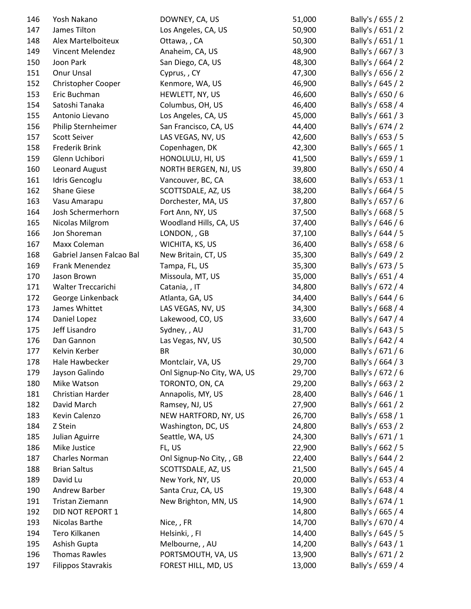| 146 | Yosh Nakano               | DOWNEY, CA, US             | 51,000 | Bally's / 655 / 2 |
|-----|---------------------------|----------------------------|--------|-------------------|
| 147 | James Tilton              | Los Angeles, CA, US        | 50,900 | Bally's / 651 / 2 |
| 148 | Alex Martelboiteux        | Ottawa, , CA               | 50,300 | Bally's / 651 / 1 |
| 149 | Vincent Melendez          | Anaheim, CA, US            | 48,900 | Bally's / 667 / 3 |
| 150 | Joon Park                 | San Diego, CA, US          | 48,300 | Bally's / 664 / 2 |
| 151 | Onur Unsal                | Cyprus, , CY               | 47,300 | Bally's / 656 / 2 |
| 152 | Christopher Cooper        | Kenmore, WA, US            | 46,900 | Bally's / 645 / 2 |
| 153 | Eric Buchman              | HEWLETT, NY, US            | 46,600 | Bally's / 650 / 6 |
| 154 | Satoshi Tanaka            | Columbus, OH, US           | 46,400 | Bally's / 658 / 4 |
| 155 | Antonio Lievano           | Los Angeles, CA, US        | 45,000 | Bally's / 661 / 3 |
| 156 | Philip Sternheimer        | San Francisco, CA, US      | 44,400 | Bally's / 674 / 2 |
| 157 | <b>Scott Seiver</b>       | LAS VEGAS, NV, US          | 42,600 | Bally's / 653 / 5 |
| 158 | Frederik Brink            | Copenhagen, DK             | 42,300 | Bally's / 665 / 1 |
| 159 | Glenn Uchibori            | HONOLULU, HI, US           | 41,500 | Bally's / 659 / 1 |
| 160 | Leonard August            | NORTH BERGEN, NJ, US       | 39,800 | Bally's / 650 / 4 |
| 161 | Idris Gencoglu            | Vancouver, BC, CA          | 38,600 | Bally's / 653 / 1 |
| 162 | <b>Shane Giese</b>        | SCOTTSDALE, AZ, US         | 38,200 | Bally's / 664 / 5 |
| 163 | Vasu Amarapu              | Dorchester, MA, US         | 37,800 | Bally's / 657 / 6 |
| 164 | Josh Schermerhorn         | Fort Ann, NY, US           | 37,500 | Bally's / 668 / 5 |
| 165 | Nicolas Milgrom           | Woodland Hills, CA, US     | 37,400 | Bally's / 646 / 6 |
| 166 | Jon Shoreman              | LONDON, , GB               | 37,100 | Bally's / 644 / 5 |
| 167 | Maxx Coleman              | WICHITA, KS, US            | 36,400 | Bally's / 658 / 6 |
| 168 | Gabriel Jansen Falcao Bal | New Britain, CT, US        | 35,300 | Bally's / 649 / 2 |
| 169 | Frank Menendez            | Tampa, FL, US              | 35,300 | Bally's / 673 / 5 |
| 170 | Jason Brown               | Missoula, MT, US           | 35,000 | Bally's / 651 / 4 |
| 171 | Walter Treccarichi        | Catania, , IT              | 34,800 | Bally's / 672 / 4 |
| 172 | George Linkenback         | Atlanta, GA, US            | 34,400 | Bally's / 644 / 6 |
| 173 | James Whittet             | LAS VEGAS, NV, US          | 34,300 | Bally's / 668 / 4 |
| 174 | Daniel Lopez              | Lakewood, CO, US           | 33,600 | Bally's / 647 / 4 |
| 175 | Jeff Lisandro             | Sydney, , AU               | 31,700 | Bally's / 643 / 5 |
| 176 | Dan Gannon                | Las Vegas, NV, US          | 30,500 | Bally's / 642 / 4 |
| 177 | Kelvin Kerber             | <b>BR</b>                  | 30,000 | Bally's / 671 / 6 |
| 178 | Hale Hawbecker            | Montclair, VA, US          | 29,700 | Bally's / 664 / 3 |
| 179 | Jayson Galindo            | Onl Signup-No City, WA, US | 29,700 | Bally's / 672 / 6 |
| 180 | Mike Watson               | TORONTO, ON, CA            | 29,200 | Bally's / 663 / 2 |
| 181 | Christian Harder          | Annapolis, MY, US          | 28,400 | Bally's / 646 / 1 |
| 182 | David March               | Ramsey, NJ, US             | 27,900 | Bally's / 661 / 2 |
| 183 | Kevin Calenzo             | NEW HARTFORD, NY, US       | 26,700 | Bally's / 658 / 1 |
|     |                           | Washington, DC, US         | 24,800 |                   |
| 184 | Z Stein                   |                            |        | Bally's / 653 / 2 |
| 185 | Julian Aguirre            | Seattle, WA, US            | 24,300 | Bally's / 671 / 1 |
| 186 | Mike Justice              | FL, US                     | 22,900 | Bally's / 662 / 5 |
| 187 | Charles Norman            | Onl Signup-No City, , GB   | 22,400 | Bally's / 644 / 2 |
| 188 | <b>Brian Saltus</b>       | SCOTTSDALE, AZ, US         | 21,500 | Bally's / 645 / 4 |
| 189 | David Lu                  | New York, NY, US           | 20,000 | Bally's / 653 / 4 |
| 190 | Andrew Barber             | Santa Cruz, CA, US         | 19,300 | Bally's / 648 / 4 |
| 191 | Tristan Ziemann           | New Brighton, MN, US       | 14,900 | Bally's / 674 / 1 |
| 192 | DID NOT REPORT 1          |                            | 14,800 | Bally's / 665 / 4 |
| 193 | Nicolas Barthe            | Nice, , FR                 | 14,700 | Bally's / 670 / 4 |
| 194 | Tero Kilkanen             | Helsinki, , FI             | 14,400 | Bally's / 645 / 5 |
| 195 | Ashish Gupta              | Melbourne, , AU            | 14,200 | Bally's / 643 / 1 |
| 196 | <b>Thomas Rawles</b>      | PORTSMOUTH, VA, US         | 13,900 | Bally's / 671 / 2 |
| 197 | <b>Filippos Stavrakis</b> | FOREST HILL, MD, US        | 13,000 | Bally's / 659 / 4 |